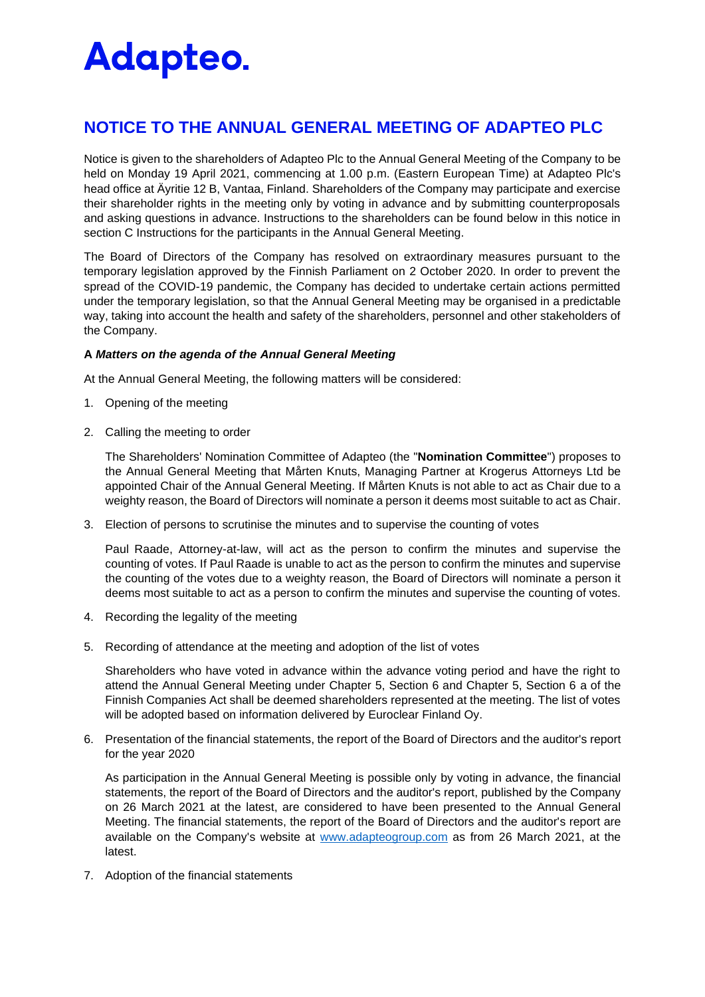### **NOTICE TO THE ANNUAL GENERAL MEETING OF ADAPTEO PLC**

Notice is given to the shareholders of Adapteo Plc to the Annual General Meeting of the Company to be held on Monday 19 April 2021, commencing at 1.00 p.m. (Eastern European Time) at Adapteo Plc's head office at Äyritie 12 B, Vantaa, Finland. Shareholders of the Company may participate and exercise their shareholder rights in the meeting only by voting in advance and by submitting counterproposals and asking questions in advance. Instructions to the shareholders can be found below in this notice in section C Instructions for the participants in the Annual General Meeting.

The Board of Directors of the Company has resolved on extraordinary measures pursuant to the temporary legislation approved by the Finnish Parliament on 2 October 2020. In order to prevent the spread of the COVID-19 pandemic, the Company has decided to undertake certain actions permitted under the temporary legislation, so that the Annual General Meeting may be organised in a predictable way, taking into account the health and safety of the shareholders, personnel and other stakeholders of the Company.

#### **A** *Matters on the agenda of the Annual General Meeting*

At the Annual General Meeting, the following matters will be considered:

- 1. Opening of the meeting
- 2. Calling the meeting to order

The Shareholders' Nomination Committee of Adapteo (the "**Nomination Committee**") proposes to the Annual General Meeting that Mårten Knuts, Managing Partner at Krogerus Attorneys Ltd be appointed Chair of the Annual General Meeting. If Mårten Knuts is not able to act as Chair due to a weighty reason, the Board of Directors will nominate a person it deems most suitable to act as Chair.

3. Election of persons to scrutinise the minutes and to supervise the counting of votes

Paul Raade, Attorney-at-law, will act as the person to confirm the minutes and supervise the counting of votes. If Paul Raade is unable to act as the person to confirm the minutes and supervise the counting of the votes due to a weighty reason, the Board of Directors will nominate a person it deems most suitable to act as a person to confirm the minutes and supervise the counting of votes.

- 4. Recording the legality of the meeting
- 5. Recording of attendance at the meeting and adoption of the list of votes

Shareholders who have voted in advance within the advance voting period and have the right to attend the Annual General Meeting under Chapter 5, Section 6 and Chapter 5, Section 6 a of the Finnish Companies Act shall be deemed shareholders represented at the meeting. The list of votes will be adopted based on information delivered by Euroclear Finland Oy.

6. Presentation of the financial statements, the report of the Board of Directors and the auditor's report for the year 2020

As participation in the Annual General Meeting is possible only by voting in advance, the financial statements, the report of the Board of Directors and the auditor's report, published by the Company on 26 March 2021 at the latest, are considered to have been presented to the Annual General Meeting. The financial statements, the report of the Board of Directors and the auditor's report are available on the Company's website at [www.adapteogroup.com](http://www.adapteogroup.com/) as from 26 March 2021, at the latest.

7. Adoption of the financial statements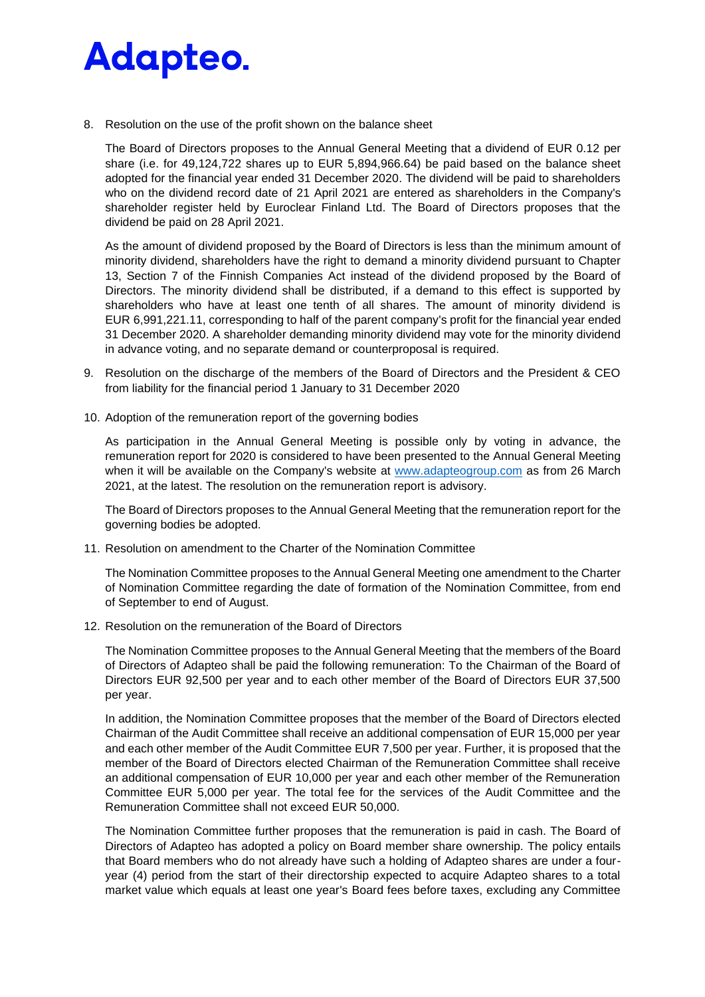8. Resolution on the use of the profit shown on the balance sheet

The Board of Directors proposes to the Annual General Meeting that a dividend of EUR 0.12 per share (i.e. for 49,124,722 shares up to EUR 5,894,966.64) be paid based on the balance sheet adopted for the financial year ended 31 December 2020. The dividend will be paid to shareholders who on the dividend record date of 21 April 2021 are entered as shareholders in the Company's shareholder register held by Euroclear Finland Ltd. The Board of Directors proposes that the dividend be paid on 28 April 2021.

As the amount of dividend proposed by the Board of Directors is less than the minimum amount of minority dividend, shareholders have the right to demand a minority dividend pursuant to Chapter 13, Section 7 of the Finnish Companies Act instead of the dividend proposed by the Board of Directors. The minority dividend shall be distributed, if a demand to this effect is supported by shareholders who have at least one tenth of all shares. The amount of minority dividend is EUR 6,991,221.11, corresponding to half of the parent company's profit for the financial year ended 31 December 2020. A shareholder demanding minority dividend may vote for the minority dividend in advance voting, and no separate demand or counterproposal is required.

- 9. Resolution on the discharge of the members of the Board of Directors and the President & CEO from liability for the financial period 1 January to 31 December 2020
- 10. Adoption of the remuneration report of the governing bodies

As participation in the Annual General Meeting is possible only by voting in advance, the remuneration report for 2020 is considered to have been presented to the Annual General Meeting when it will be available on the Company's website at [www.adapteogroup.com](http://www.adapteogroup.com/) as from 26 March 2021, at the latest. The resolution on the remuneration report is advisory.

The Board of Directors proposes to the Annual General Meeting that the remuneration report for the governing bodies be adopted.

11. Resolution on amendment to the Charter of the Nomination Committee

The Nomination Committee proposes to the Annual General Meeting one amendment to the Charter of Nomination Committee regarding the date of formation of the Nomination Committee, from end of September to end of August.

12. Resolution on the remuneration of the Board of Directors

The Nomination Committee proposes to the Annual General Meeting that the members of the Board of Directors of Adapteo shall be paid the following remuneration: To the Chairman of the Board of Directors EUR 92,500 per year and to each other member of the Board of Directors EUR 37,500 per year.

In addition, the Nomination Committee proposes that the member of the Board of Directors elected Chairman of the Audit Committee shall receive an additional compensation of EUR 15,000 per year and each other member of the Audit Committee EUR 7,500 per year. Further, it is proposed that the member of the Board of Directors elected Chairman of the Remuneration Committee shall receive an additional compensation of EUR 10,000 per year and each other member of the Remuneration Committee EUR 5,000 per year. The total fee for the services of the Audit Committee and the Remuneration Committee shall not exceed EUR 50,000.

The Nomination Committee further proposes that the remuneration is paid in cash. The Board of Directors of Adapteo has adopted a policy on Board member share ownership. The policy entails that Board members who do not already have such a holding of Adapteo shares are under a fouryear (4) period from the start of their directorship expected to acquire Adapteo shares to a total market value which equals at least one year's Board fees before taxes, excluding any Committee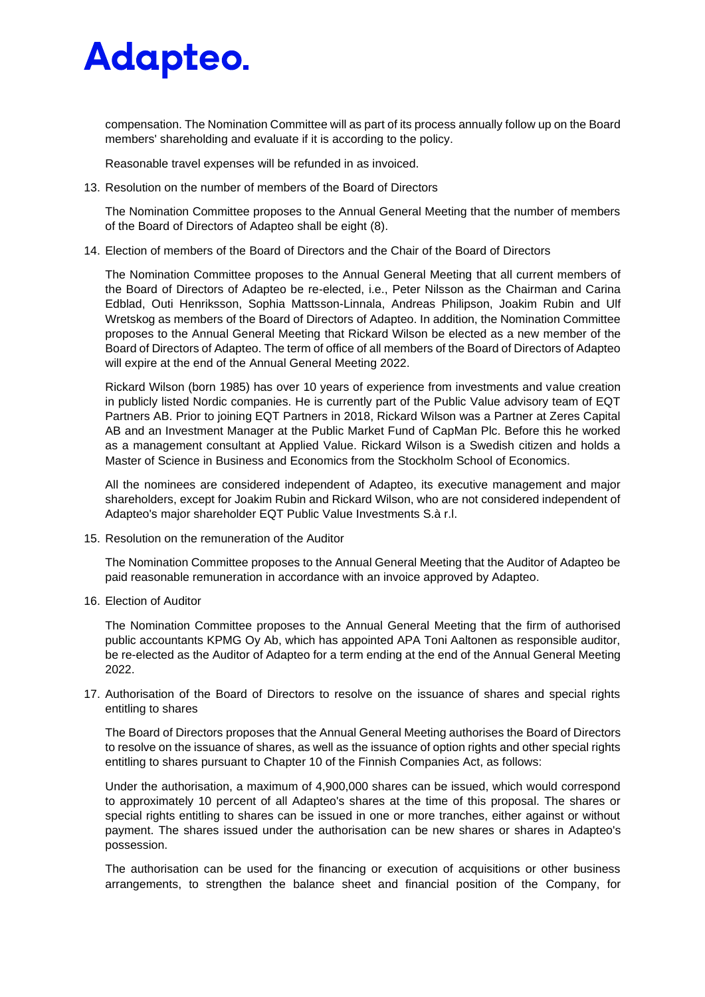compensation. The Nomination Committee will as part of its process annually follow up on the Board members' shareholding and evaluate if it is according to the policy.

Reasonable travel expenses will be refunded in as invoiced.

13. Resolution on the number of members of the Board of Directors

The Nomination Committee proposes to the Annual General Meeting that the number of members of the Board of Directors of Adapteo shall be eight (8).

14. Election of members of the Board of Directors and the Chair of the Board of Directors

The Nomination Committee proposes to the Annual General Meeting that all current members of the Board of Directors of Adapteo be re-elected, i.e., Peter Nilsson as the Chairman and Carina Edblad, Outi Henriksson, Sophia Mattsson-Linnala, Andreas Philipson, Joakim Rubin and Ulf Wretskog as members of the Board of Directors of Adapteo. In addition, the Nomination Committee proposes to the Annual General Meeting that Rickard Wilson be elected as a new member of the Board of Directors of Adapteo. The term of office of all members of the Board of Directors of Adapteo will expire at the end of the Annual General Meeting 2022.

Rickard Wilson (born 1985) has over 10 years of experience from investments and value creation in publicly listed Nordic companies. He is currently part of the Public Value advisory team of EQT Partners AB. Prior to joining EQT Partners in 2018, Rickard Wilson was a Partner at Zeres Capital AB and an Investment Manager at the Public Market Fund of CapMan Plc. Before this he worked as a management consultant at Applied Value. Rickard Wilson is a Swedish citizen and holds a Master of Science in Business and Economics from the Stockholm School of Economics.

All the nominees are considered independent of Adapteo, its executive management and major shareholders, except for Joakim Rubin and Rickard Wilson, who are not considered independent of Adapteo's major shareholder EQT Public Value Investments S.à r.l.

15. Resolution on the remuneration of the Auditor

The Nomination Committee proposes to the Annual General Meeting that the Auditor of Adapteo be paid reasonable remuneration in accordance with an invoice approved by Adapteo.

16. Election of Auditor

The Nomination Committee proposes to the Annual General Meeting that the firm of authorised public accountants KPMG Oy Ab, which has appointed APA Toni Aaltonen as responsible auditor, be re-elected as the Auditor of Adapteo for a term ending at the end of the Annual General Meeting 2022.

17. Authorisation of the Board of Directors to resolve on the issuance of shares and special rights entitling to shares

The Board of Directors proposes that the Annual General Meeting authorises the Board of Directors to resolve on the issuance of shares, as well as the issuance of option rights and other special rights entitling to shares pursuant to Chapter 10 of the Finnish Companies Act, as follows:

Under the authorisation, a maximum of 4,900,000 shares can be issued, which would correspond to approximately 10 percent of all Adapteo's shares at the time of this proposal. The shares or special rights entitling to shares can be issued in one or more tranches, either against or without payment. The shares issued under the authorisation can be new shares or shares in Adapteo's possession.

The authorisation can be used for the financing or execution of acquisitions or other business arrangements, to strengthen the balance sheet and financial position of the Company, for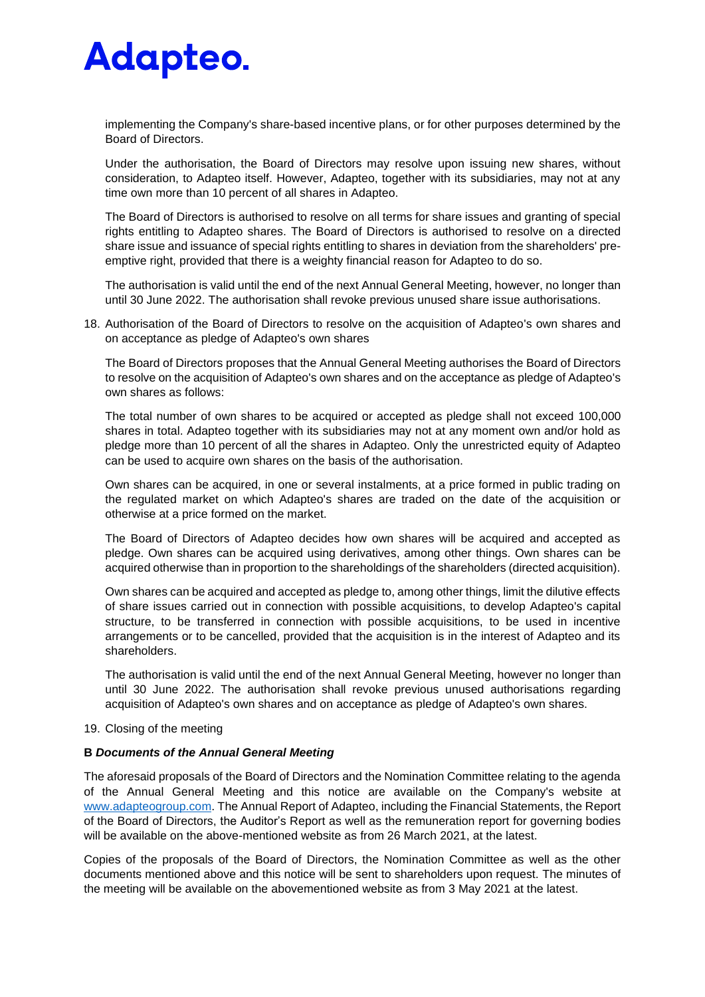implementing the Company's share-based incentive plans, or for other purposes determined by the Board of Directors.

Under the authorisation, the Board of Directors may resolve upon issuing new shares, without consideration, to Adapteo itself. However, Adapteo, together with its subsidiaries, may not at any time own more than 10 percent of all shares in Adapteo.

The Board of Directors is authorised to resolve on all terms for share issues and granting of special rights entitling to Adapteo shares. The Board of Directors is authorised to resolve on a directed share issue and issuance of special rights entitling to shares in deviation from the shareholders' preemptive right, provided that there is a weighty financial reason for Adapteo to do so.

The authorisation is valid until the end of the next Annual General Meeting, however, no longer than until 30 June 2022. The authorisation shall revoke previous unused share issue authorisations.

18. Authorisation of the Board of Directors to resolve on the acquisition of Adapteo's own shares and on acceptance as pledge of Adapteo's own shares

The Board of Directors proposes that the Annual General Meeting authorises the Board of Directors to resolve on the acquisition of Adapteo's own shares and on the acceptance as pledge of Adapteo's own shares as follows:

The total number of own shares to be acquired or accepted as pledge shall not exceed 100,000 shares in total. Adapteo together with its subsidiaries may not at any moment own and/or hold as pledge more than 10 percent of all the shares in Adapteo. Only the unrestricted equity of Adapteo can be used to acquire own shares on the basis of the authorisation.

Own shares can be acquired, in one or several instalments, at a price formed in public trading on the regulated market on which Adapteo's shares are traded on the date of the acquisition or otherwise at a price formed on the market.

The Board of Directors of Adapteo decides how own shares will be acquired and accepted as pledge. Own shares can be acquired using derivatives, among other things. Own shares can be acquired otherwise than in proportion to the shareholdings of the shareholders (directed acquisition).

Own shares can be acquired and accepted as pledge to, among other things, limit the dilutive effects of share issues carried out in connection with possible acquisitions, to develop Adapteo's capital structure, to be transferred in connection with possible acquisitions, to be used in incentive arrangements or to be cancelled, provided that the acquisition is in the interest of Adapteo and its shareholders.

The authorisation is valid until the end of the next Annual General Meeting, however no longer than until 30 June 2022. The authorisation shall revoke previous unused authorisations regarding acquisition of Adapteo's own shares and on acceptance as pledge of Adapteo's own shares.

19. Closing of the meeting

#### **B** *Documents of the Annual General Meeting*

The aforesaid proposals of the Board of Directors and the Nomination Committee relating to the agenda of the Annual General Meeting and this notice are available on the Company's website at [www.adapteogroup.com.](http://www.adapteogroup.com/) The Annual Report of Adapteo, including the Financial Statements, the Report of the Board of Directors, the Auditor's Report as well as the remuneration report for governing bodies will be available on the above-mentioned website as from 26 March 2021, at the latest.

Copies of the proposals of the Board of Directors, the Nomination Committee as well as the other documents mentioned above and this notice will be sent to shareholders upon request. The minutes of the meeting will be available on the abovementioned website as from 3 May 2021 at the latest.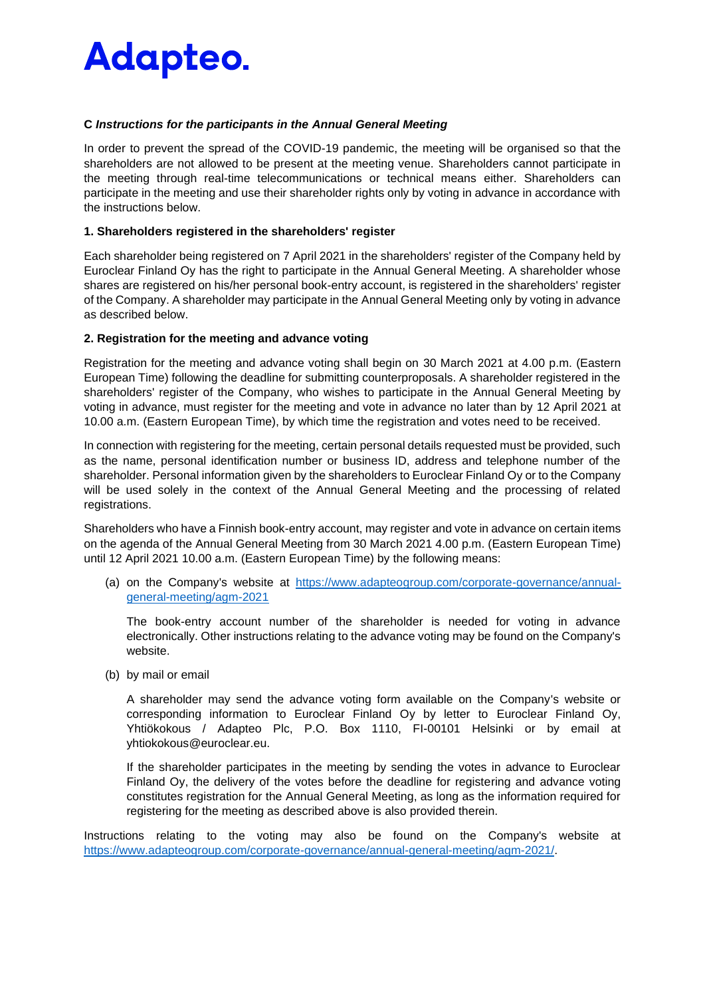#### **C** *Instructions for the participants in the Annual General Meeting*

In order to prevent the spread of the COVID-19 pandemic, the meeting will be organised so that the shareholders are not allowed to be present at the meeting venue. Shareholders cannot participate in the meeting through real-time telecommunications or technical means either. Shareholders can participate in the meeting and use their shareholder rights only by voting in advance in accordance with the instructions below.

#### **1. Shareholders registered in the shareholders' register**

Each shareholder being registered on 7 April 2021 in the shareholders' register of the Company held by Euroclear Finland Oy has the right to participate in the Annual General Meeting. A shareholder whose shares are registered on his/her personal book-entry account, is registered in the shareholders' register of the Company. A shareholder may participate in the Annual General Meeting only by voting in advance as described below.

#### **2. Registration for the meeting and advance voting**

Registration for the meeting and advance voting shall begin on 30 March 2021 at 4.00 p.m. (Eastern European Time) following the deadline for submitting counterproposals. A shareholder registered in the shareholders' register of the Company, who wishes to participate in the Annual General Meeting by voting in advance, must register for the meeting and vote in advance no later than by 12 April 2021 at 10.00 a.m. (Eastern European Time), by which time the registration and votes need to be received.

In connection with registering for the meeting, certain personal details requested must be provided, such as the name, personal identification number or business ID, address and telephone number of the shareholder. Personal information given by the shareholders to Euroclear Finland Oy or to the Company will be used solely in the context of the Annual General Meeting and the processing of related registrations.

Shareholders who have a Finnish book-entry account, may register and vote in advance on certain items on the agenda of the Annual General Meeting from 30 March 2021 4.00 p.m. (Eastern European Time) until 12 April 2021 10.00 a.m. (Eastern European Time) by the following means:

(a) on the Company's website at [https://www.adapteogroup.com/corporate-governance/annual](https://www.adapteogroup.com/corporate-governance/annual-general-meeting/agm-2021)[general-meeting/agm-2021](https://www.adapteogroup.com/corporate-governance/annual-general-meeting/agm-2021)

The book-entry account number of the shareholder is needed for voting in advance electronically. Other instructions relating to the advance voting may be found on the Company's website.

(b) by mail or email

A shareholder may send the advance voting form available on the Company's website or corresponding information to Euroclear Finland Oy by letter to Euroclear Finland Oy, Yhtiökokous / Adapteo Plc, P.O. Box 1110, FI-00101 Helsinki or by email at yhtiokokous@euroclear.eu.

If the shareholder participates in the meeting by sending the votes in advance to Euroclear Finland Oy, the delivery of the votes before the deadline for registering and advance voting constitutes registration for the Annual General Meeting, as long as the information required for registering for the meeting as described above is also provided therein.

Instructions relating to the voting may also be found on the Company's website at [https://www.adapteogroup.com/corporate-governance/annual-general-meeting/agm-2021/.](https://www.adapteogroup.com/corporate-governance/annual-general-meeting/agm-2021/)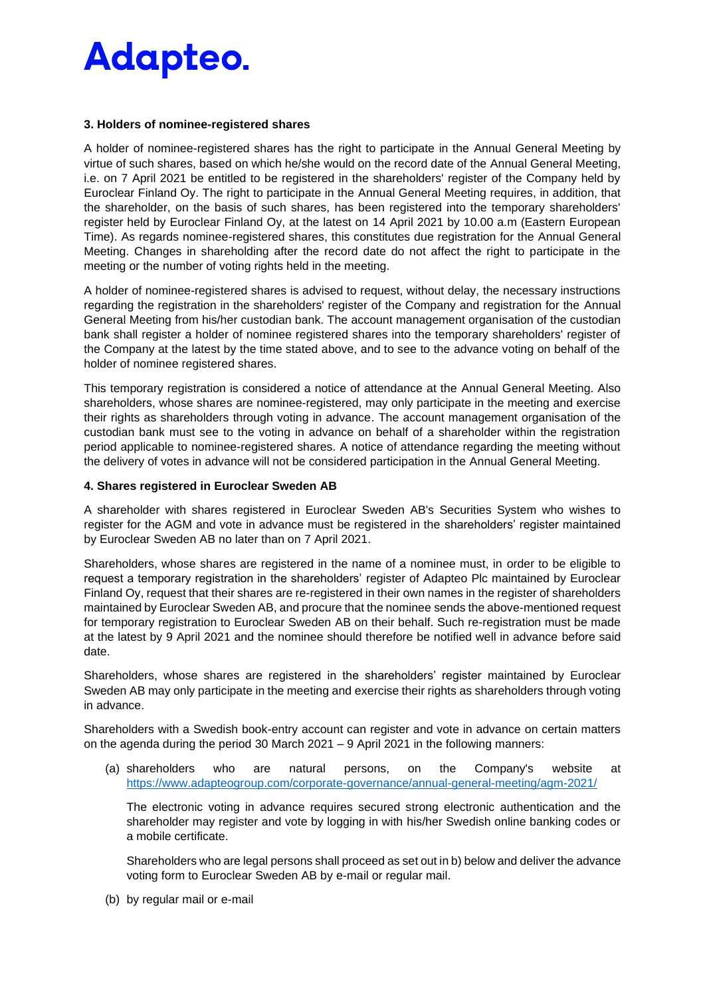#### **3. Holders of nominee-registered shares**

A holder of nominee-registered shares has the right to participate in the Annual General Meeting by virtue of such shares, based on which he/she would on the record date of the Annual General Meeting, i.e. on 7 April 2021 be entitled to be registered in the shareholders' register of the Company held by Euroclear Finland Oy. The right to participate in the Annual General Meeting requires, in addition, that the shareholder, on the basis of such shares, has been registered into the temporary shareholders' register held by Euroclear Finland Oy, at the latest on 14 April 2021 by 10.00 a.m (Eastern European Time). As regards nominee-registered shares, this constitutes due registration for the Annual General Meeting. Changes in shareholding after the record date do not affect the right to participate in the meeting or the number of voting rights held in the meeting.

A holder of nominee-registered shares is advised to request, without delay, the necessary instructions regarding the registration in the shareholders' register of the Company and registration for the Annual General Meeting from his/her custodian bank. The account management organisation of the custodian bank shall register a holder of nominee registered shares into the temporary shareholders' register of the Company at the latest by the time stated above, and to see to the advance voting on behalf of the holder of nominee registered shares.

This temporary registration is considered a notice of attendance at the Annual General Meeting. Also shareholders, whose shares are nominee-registered, may only participate in the meeting and exercise their rights as shareholders through voting in advance. The account management organisation of the custodian bank must see to the voting in advance on behalf of a shareholder within the registration period applicable to nominee-registered shares. A notice of attendance regarding the meeting without the delivery of votes in advance will not be considered participation in the Annual General Meeting.

#### **4. Shares registered in Euroclear Sweden AB**

A shareholder with shares registered in Euroclear Sweden AB's Securities System who wishes to register for the AGM and vote in advance must be registered in the shareholders' register maintained by Euroclear Sweden AB no later than on 7 April 2021.

Shareholders, whose shares are registered in the name of a nominee must, in order to be eligible to request a temporary registration in the shareholders' register of Adapteo Plc maintained by Euroclear Finland Oy, request that their shares are re-registered in their own names in the register of shareholders maintained by Euroclear Sweden AB, and procure that the nominee sends the above-mentioned request for temporary registration to Euroclear Sweden AB on their behalf. Such re-registration must be made at the latest by 9 April 2021 and the nominee should therefore be notified well in advance before said date.

Shareholders, whose shares are registered in the shareholders' register maintained by Euroclear Sweden AB may only participate in the meeting and exercise their rights as shareholders through voting in advance.

Shareholders with a Swedish book-entry account can register and vote in advance on certain matters on the agenda during the period 30 March 2021 – 9 April 2021 in the following manners:

(a) shareholders who are natural persons, on the Company's website at <https://www.adapteogroup.com/corporate-governance/annual-general-meeting/agm-2021/>

The electronic voting in advance requires secured strong electronic authentication and the shareholder may register and vote by logging in with his/her Swedish online banking codes or a mobile certificate.

Shareholders who are legal persons shall proceed as set out in b) below and deliver the advance voting form to Euroclear Sweden AB by e-mail or regular mail.

(b) by regular mail or e-mail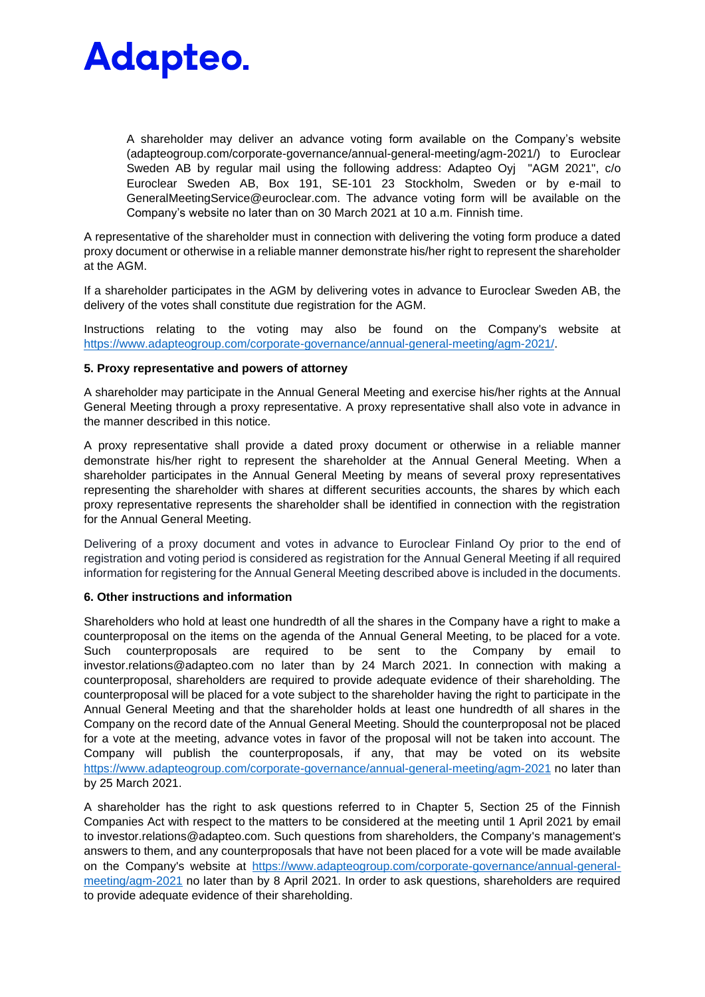A shareholder may deliver an advance voting form available on the Company's website (adapteogroup.com/corporate-governance/annual-general-meeting/agm-2021/) to Euroclear Sweden AB by regular mail using the following address: Adapteo Oyj "AGM 2021", c/o Euroclear Sweden AB, Box 191, SE-101 23 Stockholm, Sweden or by e-mail to GeneralMeetingService@euroclear.com. The advance voting form will be available on the Company's website no later than on 30 March 2021 at 10 a.m. Finnish time.

A representative of the shareholder must in connection with delivering the voting form produce a dated proxy document or otherwise in a reliable manner demonstrate his/her right to represent the shareholder at the AGM.

If a shareholder participates in the AGM by delivering votes in advance to Euroclear Sweden AB, the delivery of the votes shall constitute due registration for the AGM.

Instructions relating to the voting may also be found on the Company's website at [https://www.adapteogroup.com/corporate-governance/annual-general-meeting/agm-2021/.](https://www.adapteogroup.com/corporate-governance/annual-general-meeting/agm-2021/)

#### **5. Proxy representative and powers of attorney**

A shareholder may participate in the Annual General Meeting and exercise his/her rights at the Annual General Meeting through a proxy representative. A proxy representative shall also vote in advance in the manner described in this notice.

A proxy representative shall provide a dated proxy document or otherwise in a reliable manner demonstrate his/her right to represent the shareholder at the Annual General Meeting. When a shareholder participates in the Annual General Meeting by means of several proxy representatives representing the shareholder with shares at different securities accounts, the shares by which each proxy representative represents the shareholder shall be identified in connection with the registration for the Annual General Meeting.

Delivering of a proxy document and votes in advance to Euroclear Finland Oy prior to the end of registration and voting period is considered as registration for the Annual General Meeting if all required information for registering for the Annual General Meeting described above is included in the documents.

#### **6. Other instructions and information**

Shareholders who hold at least one hundredth of all the shares in the Company have a right to make a counterproposal on the items on the agenda of the Annual General Meeting, to be placed for a vote. Such counterproposals are required to be sent to the Company by email to investor.relations@adapteo.com no later than by 24 March 2021. In connection with making a counterproposal, shareholders are required to provide adequate evidence of their shareholding. The counterproposal will be placed for a vote subject to the shareholder having the right to participate in the Annual General Meeting and that the shareholder holds at least one hundredth of all shares in the Company on the record date of the Annual General Meeting. Should the counterproposal not be placed for a vote at the meeting, advance votes in favor of the proposal will not be taken into account. The Company will publish the counterproposals, if any, that may be voted on its website <https://www.adapteogroup.com/corporate-governance/annual-general-meeting/agm-2021> no later than by 25 March 2021.

A shareholder has the right to ask questions referred to in Chapter 5, Section 25 of the Finnish Companies Act with respect to the matters to be considered at the meeting until 1 April 2021 by email to investor.relations@adapteo.com. Such questions from shareholders, the Company's management's answers to them, and any counterproposals that have not been placed for a vote will be made available on the Company's website at [https://www.adapteogroup.com/corporate-governance/annual-general](https://www.adapteogroup.com/corporate-governance/annual-general-meeting/agm-2021)[meeting/agm-2021](https://www.adapteogroup.com/corporate-governance/annual-general-meeting/agm-2021) no later than by 8 April 2021. In order to ask questions, shareholders are required to provide adequate evidence of their shareholding.